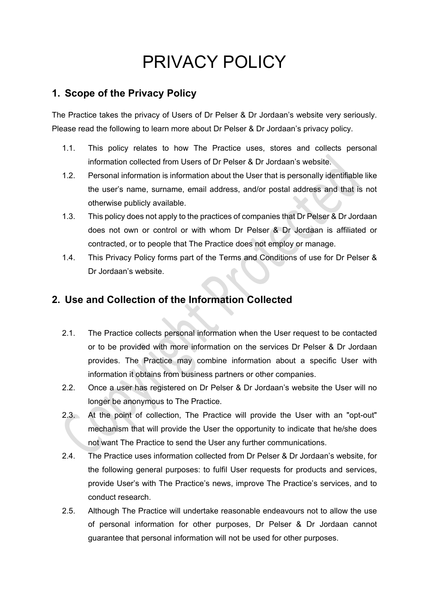# PRIVACY POLICY

# **1. Scope of the Privacy Policy**

The Practice takes the privacy of Users of Dr Pelser & Dr Jordaan's website very seriously. Please read the following to learn more about Dr Pelser & Dr Jordaan's privacy policy.

- 1.1. This policy relates to how The Practice uses, stores and collects personal information collected from Users of Dr Pelser & Dr Jordaan's website.
- 1.2. Personal information is information about the User that is personally identifiable like the user's name, surname, email address, and/or postal address and that is not otherwise publicly available.
- 1.3. This policy does not apply to the practices of companies that Dr Pelser & Dr Jordaan does not own or control or with whom Dr Pelser & Dr Jordaan is affiliated or contracted, or to people that The Practice does not employ or manage.
- 1.4. This Privacy Policy forms part of the Terms and Conditions of use for Dr Pelser & Dr Jordaan's website.

# **2. Use and Collection of the Information Collected**

- 2.1. The Practice collects personal information when the User request to be contacted or to be provided with more information on the services Dr Pelser & Dr Jordaan provides. The Practice may combine information about a specific User with information it obtains from business partners or other companies.
- 2.2. Once a user has registered on Dr Pelser & Dr Jordaan's website the User will no longer be anonymous to The Practice.
- 2.3. At the point of collection, The Practice will provide the User with an "opt-out" mechanism that will provide the User the opportunity to indicate that he/she does not want The Practice to send the User any further communications.
- 2.4. The Practice uses information collected from Dr Pelser & Dr Jordaan's website, for the following general purposes: to fulfil User requests for products and services, provide User's with The Practice's news, improve The Practice's services, and to conduct research.
- 2.5. Although The Practice will undertake reasonable endeavours not to allow the use of personal information for other purposes, Dr Pelser & Dr Jordaan cannot guarantee that personal information will not be used for other purposes.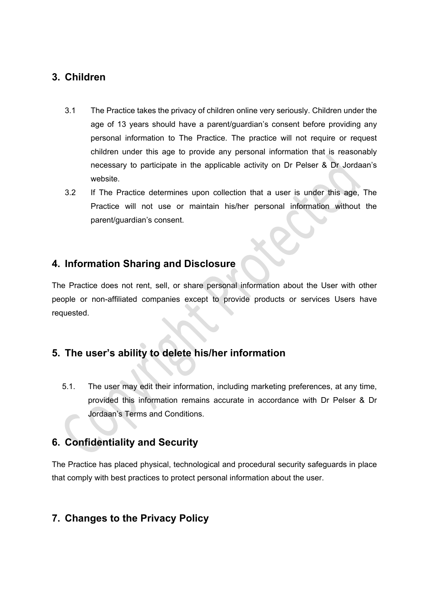## **3. Children**

- 3.1 The Practice takes the privacy of children online very seriously. Children under the age of 13 years should have a parent/guardian's consent before providing any personal information to The Practice. The practice will not require or request children under this age to provide any personal information that is reasonably necessary to participate in the applicable activity on Dr Pelser & Dr Jordaan's website.
- 3.2 If The Practice determines upon collection that a user is under this age, The Practice will not use or maintain his/her personal information without the parent/guardian's consent.

### **4. Information Sharing and Disclosure**

The Practice does not rent, sell, or share personal information about the User with other people or non-affiliated companies except to provide products or services Users have requested.

# **5. The user's ability to delete his/her information**

5.1. The user may edit their information, including marketing preferences, at any time, provided this information remains accurate in accordance with Dr Pelser & Dr Jordaan's Terms and Conditions.

# **6. Confidentiality and Security**

The Practice has placed physical, technological and procedural security safeguards in place that comply with best practices to protect personal information about the user.

# **7. Changes to the Privacy Policy**